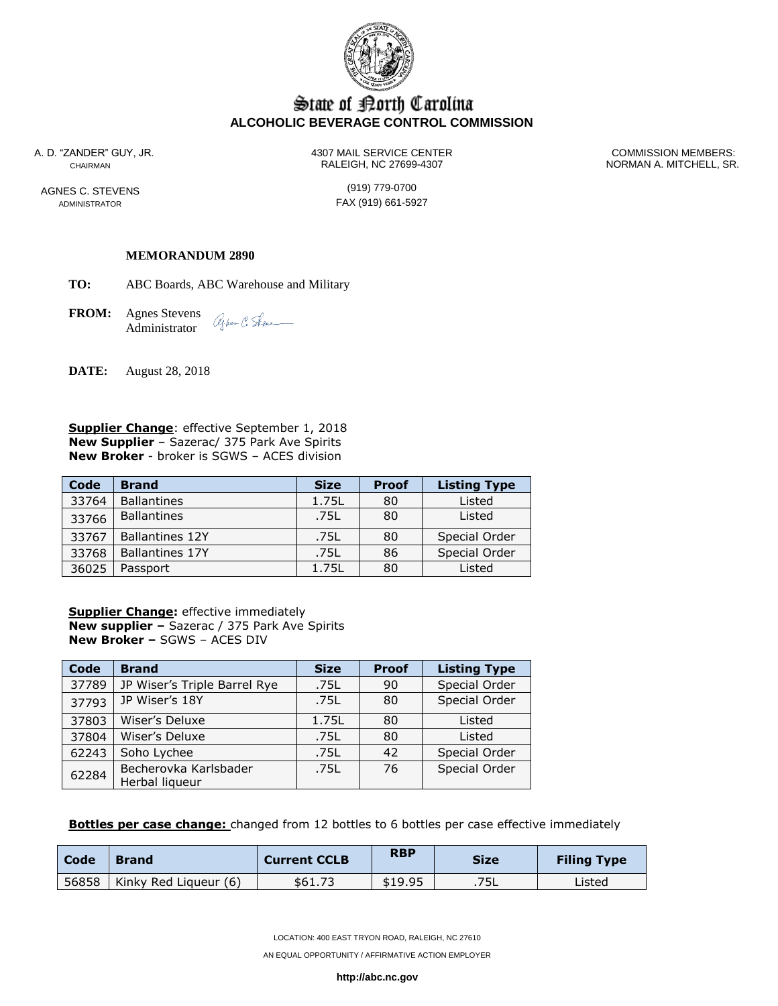

# State of Borth Carolina **ALCOHOLIC BEVERAGE CONTROL COMMISSION**

AGNES C. STEVENS (919) 779-0700

A. D. "ZANDER" GUY, JR. 4307 MAIL SERVICE CENTER COMMISSION MEMBERS: CHAIRMAN RALEIGH, NC 27699-4307 NORMAN A. MITCHELL, SR.

ADMINISTRATOR **FAX** (919) 661-5927

## **MEMORANDUM 2890**

**TO:** ABC Boards, ABC Warehouse and Military

**FROM:** Agnes Stevens agher C. Sene\_ Administrator

**DATE:** August 28, 2018

**Supplier Change**: effective September 1, 2018 **New Supplier** – Sazerac/ 375 Park Ave Spirits **New Broker** - broker is SGWS – ACES division

| Code  | <b>Brand</b>           | <b>Size</b> | <b>Proof</b> | <b>Listing Type</b> |
|-------|------------------------|-------------|--------------|---------------------|
| 33764 | <b>Ballantines</b>     | 1.75L       | 80           | Listed              |
| 33766 | <b>Ballantines</b>     | .75L        | 80           | Listed              |
| 33767 | <b>Ballantines 12Y</b> | .75L        | 80           | Special Order       |
| 33768 | <b>Ballantines 17Y</b> | .75L        | 86           | Special Order       |
| 36025 | Passport               | 1.75L       | 80           | Listed              |

**Supplier Change:** effective immediately **New supplier –** Sazerac / 375 Park Ave Spirits **New Broker –** SGWS – ACES DIV

| Code  | <b>Brand</b>                            | <b>Size</b> | <b>Proof</b> | <b>Listing Type</b> |
|-------|-----------------------------------------|-------------|--------------|---------------------|
| 37789 | JP Wiser's Triple Barrel Rye            | .75L        | 90           | Special Order       |
| 37793 | JP Wiser's 18Y                          | .75L        | 80           | Special Order       |
| 37803 | Wiser's Deluxe                          | 1.75L       | 80           | Listed              |
| 37804 | Wiser's Deluxe                          | .75L        | 80           | Listed              |
| 62243 | Soho Lychee                             | .75L        | 42           | Special Order       |
| 62284 | Becherovka Karlsbader<br>Herbal liqueur | .751        | 76           | Special Order       |

**Bottles per case change:** changed from 12 bottles to 6 bottles per case effective immediately

| Code | <b>Brand</b>                  | <b>Current CCLB</b> | <b>RBP</b> | <b>Size</b> | <b>Filing Type</b> |
|------|-------------------------------|---------------------|------------|-------------|--------------------|
|      | 56858   Kinky Red Liqueur (6) | \$61.73             | \$19.95    | .75L        | Listed             |

LOCATION: 400 EAST TRYON ROAD, RALEIGH, NC 27610

AN EQUAL OPPORTUNITY / AFFIRMATIVE ACTION EMPLOYER

**http://abc.nc.gov**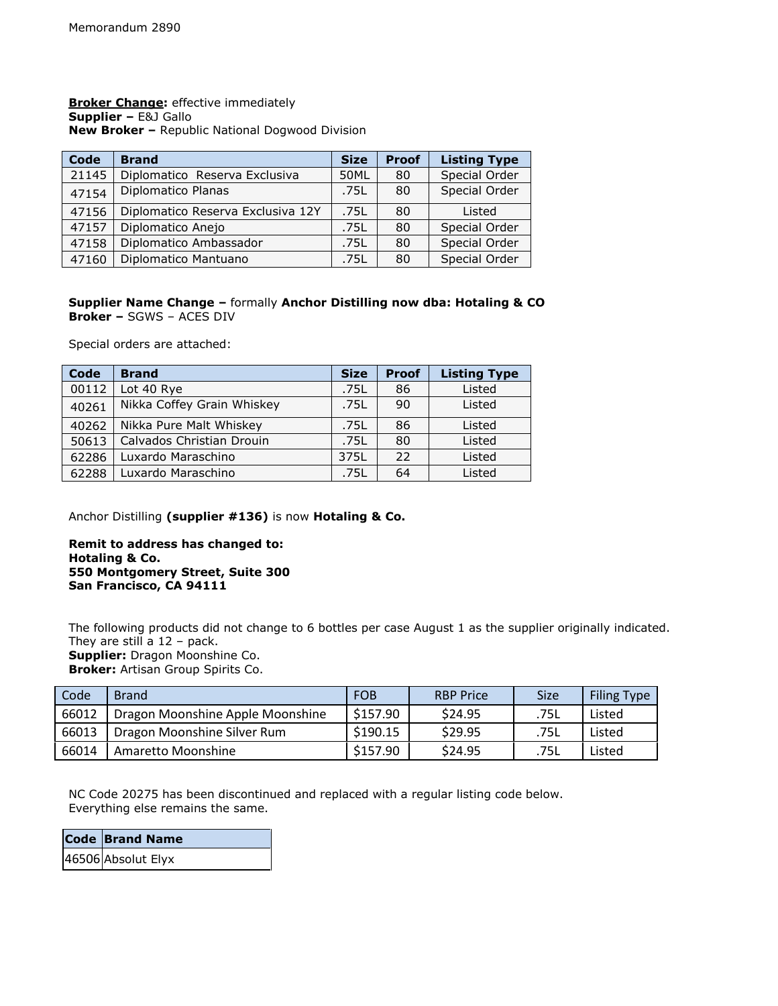**Broker Change:** effective immediately **Supplier –** E&J Gallo **New Broker –** Republic National Dogwood Division

| <b>Code</b> | <b>Brand</b>                      | <b>Size</b> | <b>Proof</b> | <b>Listing Type</b> |
|-------------|-----------------------------------|-------------|--------------|---------------------|
| 21145       | Diplomatico Reserva Exclusiva     | 50ML        | 80           | Special Order       |
| 47154       | Diplomatico Planas                | .75L        | 80           | Special Order       |
| 47156       | Diplomatico Reserva Exclusiva 12Y | .75L        | 80           | Listed              |
| 47157       | Diplomatico Anejo                 | .75L        | 80           | Special Order       |
| 47158       | Diplomatico Ambassador            | .75L        | 80           | Special Order       |
| 47160       | Diplomatico Mantuano              | .75L        | 80           | Special Order       |

# **Supplier Name Change –** formally **Anchor Distilling now dba: Hotaling & CO Broker –** SGWS – ACES DIV

Special orders are attached:

| Code  | <b>Brand</b>               | <b>Size</b> | <b>Proof</b> | <b>Listing Type</b> |
|-------|----------------------------|-------------|--------------|---------------------|
| 00112 | Lot 40 Rye                 | .75L        | 86           | Listed              |
| 40261 | Nikka Coffey Grain Whiskey | .75L        | 90           | Listed              |
| 40262 | Nikka Pure Malt Whiskey    | .75L        | 86           | Listed              |
| 50613 | Calvados Christian Drouin  | .75L        | 80           | Listed              |
| 62286 | Luxardo Maraschino         | 375L        | 22           | Listed              |
| 62288 | Luxardo Maraschino         | .75L        | 64           | Listed              |

Anchor Distilling **(supplier #136)** is now **Hotaling & Co.**

**Remit to address has changed to: Hotaling & Co. 550 Montgomery Street, Suite 300 San Francisco, CA 94111**

The following products did not change to 6 bottles per case August 1 as the supplier originally indicated. They are still a 12 – pack. **Supplier:** Dragon Moonshine Co.

**Broker:** Artisan Group Spirits Co.

| Code  | <b>Brand</b>                     | <b>FOB</b> | <b>RBP Price</b> | <b>Size</b> | <b>Filing Type</b> |
|-------|----------------------------------|------------|------------------|-------------|--------------------|
| 66012 | Dragon Moonshine Apple Moonshine | \$157.90   | \$24.95          | .75L        | Listed             |
| 66013 | Dragon Moonshine Silver Rum      | \$190.15   | \$29.95          | .75L        | Listed             |
| 66014 | Amaretto Moonshine               | \$157.90   | \$24.95          | .75L        | Listed             |

NC Code 20275 has been discontinued and replaced with a regular listing code below. Everything else remains the same.

| Code Brand Name    |
|--------------------|
| 46506 Absolut Elyx |